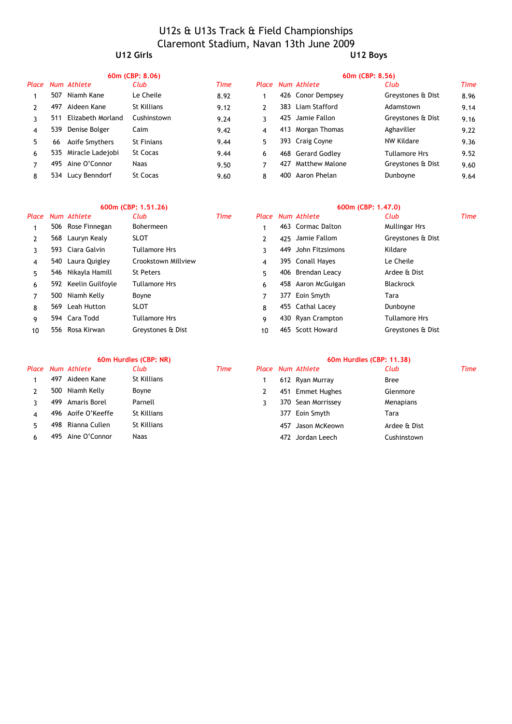### U12s & U13s Track & Field Championships Claremont Stadium, Navan 13th June 2009 **U12 Girls U12 Boys**

|                |     |                       | <b>OUM (CDP: 8.00)</b> |      |               |                   |
|----------------|-----|-----------------------|------------------------|------|---------------|-------------------|
|                |     | Place Num Athlete     | Club                   | Time |               | Place Num Athlete |
| 1              | 507 | Niamh Kane            | Le Cheile              | 8.92 | 1             | 426 Conor Demp    |
| $\mathfrak{p}$ | 497 | Aideen Kane           | <b>St Killians</b>     | 9.12 | $\mathcal{P}$ | 383 Liam Staffor  |
| 3              |     | 511 Elizabeth Morland | Cushinstown            | 9.24 | २             | 425 Jamie Fallor  |
| 4              |     | 539 Denise Bolger     | Caim                   | 9.42 | 4             | 413 Morgan Thor   |
| 5              |     | 66 Aoife Smythers     | <b>St Finians</b>      | 9.44 | 5             | 393 Craig Coyne   |
| 6              |     | 535 Miracle Ladejobi  | St Cocas               | 9.44 | 6             | 468 Gerard Godl   |
| $\overline{7}$ |     | 495 Aine O'Connor     | <b>Naas</b>            | 9.50 | 7             | 427 Matthew Ma    |
| 8              |     | 534 Lucy Benndorf     | St Cocas               | 9.60 | 8             | 400 Aaron Phela   |
|                |     |                       |                        |      |               |                   |

|       |     |                   | 60m (CBP: 8.06)    |      | 60m (CBP: 8.56) |     |                       |                      |             |  |  |
|-------|-----|-------------------|--------------------|------|-----------------|-----|-----------------------|----------------------|-------------|--|--|
| Place |     | Num Athlete       | Club               | Time | Place           |     | Num Athlete           | Club                 | <b>Time</b> |  |  |
|       | 507 | Niamh Kane        | Le Cheile          | 8.92 |                 |     | 426 Conor Dempsey     | Greystones & Dist    | 8.96        |  |  |
|       | 497 | Aideen Kane       | <b>St Killians</b> | 9.12 |                 |     | 383 Liam Stafford     | Adamstown            | 9.14        |  |  |
|       | 511 | Elizabeth Morland | Cushinstown        | 9.24 |                 | 425 | Jamie Fallon          | Greystones & Dist    | 9.16        |  |  |
| 4     | 539 | Denise Bolger     | Caim               | 9.42 | 4               | 413 | Morgan Thomas         | Aghaviller           | 9.22        |  |  |
| 5.    | 66  | Aoife Smythers    | <b>St Finians</b>  | 9.44 | 5.              |     | 393 Craig Coyne       | NW Kildare           | 9.36        |  |  |
| 6     | 535 | Miracle Ladejobi  | St Cocas           | 9.44 | 6               | 468 | Gerard Godley         | <b>Tullamore Hrs</b> | 9.52        |  |  |
|       | 495 | Aine O'Connor     | Naas               | 9.50 |                 | 427 | <b>Matthew Malone</b> | Greystones & Dist    | 9.60        |  |  |
| 8     | 534 | Lucy Benndorf     | St Cocas           | 9.60 | 8               | 400 | Aaron Phelan          | Dunboyne             | 9.64        |  |  |
|       |     |                   |                    |      |                 |     |                       |                      |             |  |  |

|       |                      | 600m (CBP: 1.51.26)  |             | 600m (CBP: 1.47.0) |  |                     |                      |      |  |
|-------|----------------------|----------------------|-------------|--------------------|--|---------------------|----------------------|------|--|
| Place | Num Athlete          | Club                 | <b>Time</b> | Place              |  | Num Athlete         | Club                 | Time |  |
|       | 506 Rose Finnegan    | Bohermeen            |             |                    |  | 463 Cormac Dalton   | <b>Mullingar Hrs</b> |      |  |
|       | 568 Lauryn Kealy     | <b>SLOT</b>          |             | 2                  |  | 425 Jamie Fallom    | Greystones & Dist    |      |  |
| 3     | 593 Ciara Galvin     | <b>Tullamore Hrs</b> |             | 3                  |  | 449 John Fitzsimons | Kildare              |      |  |
| 4     | 540 Laura Quigley    | Crookstown Millview  |             | 4                  |  | 395 Conall Hayes    | Le Cheile            |      |  |
| 5.    | 546 Nikayla Hamill   | St Peters            |             | 5                  |  | 406 Brendan Leacy   | Ardee & Dist         |      |  |
| 6     | 592 Keelin Guilfoyle | <b>Tullamore Hrs</b> |             | 6                  |  | 458 Aaron McGuigan  | <b>Blackrock</b>     |      |  |
|       | 500 Niamh Kelly      | Boyne                |             | 7                  |  | 377 Eoin Smyth      | Tara                 |      |  |
| 8     | 569 Leah Hutton      | <b>SLOT</b>          |             | 8                  |  | 455 Cathal Lacey    | Dunboyne             |      |  |
| 9     | 594 Cara Todd        | <b>Tullamore Hrs</b> |             | 9                  |  | 430 Ryan Crampton   | <b>Tullamore Hrs</b> |      |  |
| 10    | 556 Rosa Kirwan      | Greystones & Dist    |             | 10                 |  | 465 Scott Howard    | Greystones & Dist    |      |  |

|   |     |                    | 60m Hurdles (CBP: NR) |      | 60m Hurdles (CBP: 11.38) |      |                    |              |      |  |
|---|-----|--------------------|-----------------------|------|--------------------------|------|--------------------|--------------|------|--|
|   |     | Place Num Athlete  | Club                  | Time |                          |      | Place Num Athlete  | Club         | Time |  |
|   | 497 | Aideen Kane        | St Killians           |      |                          |      | 612 Ryan Murray    | <b>Bree</b>  |      |  |
|   |     | 500 Niamh Kelly    | Boyne                 |      |                          |      | 451 Emmet Hughes   | Glenmore     |      |  |
|   | 499 | Amaris Borel       | Parnell               |      |                          |      | 370 Sean Morrissey | Menapians    |      |  |
| 4 |     | 496 Aoife O'Keeffe | St Killians           |      |                          | 377. | Eoin Smyth         | Tara         |      |  |
| 5 | 498 | Rianna Cullen      | St Killians           |      |                          | 457  | Jason McKeown      | Ardee & Dist |      |  |
| 6 |     | 495 Aine O'Connor  | <b>Naas</b>           |      |                          | 472  | Jordan Leech       | Cushinstown  |      |  |
|   |     |                    |                       |      |                          |      |                    |              |      |  |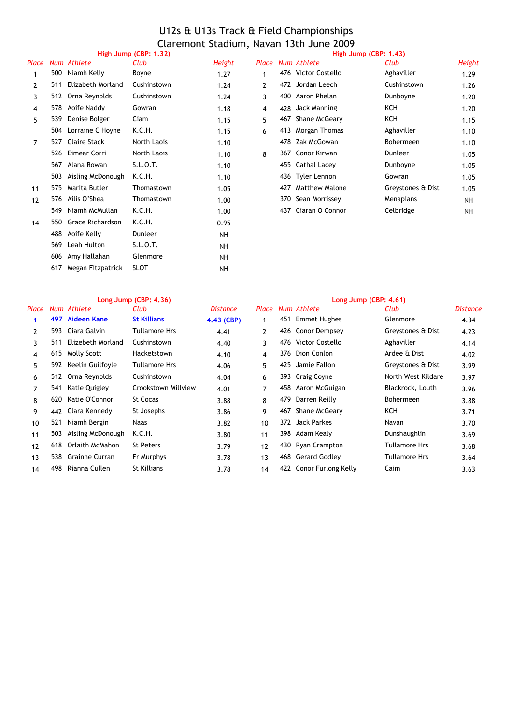| Place         |     | Num Athlete          | Club        | Height    | Place |     | <b>Num Athlete</b>    | Club             |
|---------------|-----|----------------------|-------------|-----------|-------|-----|-----------------------|------------------|
| 1             | 500 | Niamh Kelly          | Boyne       | 1.27      | 1     |     | 476 Victor Costello   | Aghaviller       |
| $\mathcal{P}$ | 511 | Elizabeth Morland    | Cushinstown | 1.24      | 2     |     | 472 Jordan Leech      | Cushinstown      |
| 3             | 512 | Orna Reynolds        | Cushinstown | 1.24      | 3     | 400 | Aaron Phelan          | Dunboyne         |
| 4             |     | 578 Aoife Naddy      | Gowran      | 1.18      | 4     | 428 | Jack Manning          | ксн              |
| 5             | 539 | Denise Bolger        | Ciam        | 1.15      | 5     | 467 | Shane McGeary         | <b>KCH</b>       |
|               |     | 504 Lorraine C Hoyne | K.C.H.      | 1.15      | 6     |     | 413 Morgan Thomas     | Aghaviller       |
| 7             | 527 | <b>Claire Stack</b>  | North Laois | 1.10      |       | 478 | Zak McGowan           | <b>Bohermeen</b> |
|               | 526 | Eimear Corri         | North Laois | 1.10      | 8     |     | 367 Conor Kirwan      | Dunleer          |
|               | 567 | Alana Rowan          | S.L.O.T.    | 1.10      |       |     | 455 Cathal Lacey      | Dunboyne         |
|               | 503 | Aisling McDonough    | K.C.H.      | 1.10      |       |     | 436 Tyler Lennon      | Gowran           |
| 11            | 575 | Marita Butler        | Thomastown  | 1.05      |       | 427 | <b>Matthew Malone</b> | Greystones &     |
| 12            | 576 | Ailis O'Shea         | Thomastown  | 1.00      |       | 370 | Sean Morrissey        | Menapians        |
|               | 549 | Niamh McMullan       | K.C.H.      | 1.00      |       | 437 | Ciaran O Connor       | Celbridge        |
| 14            | 550 | Grace Richardson     | K.C.H.      | 0.95      |       |     |                       |                  |
|               |     | 488 Aoife Kelly      | Dunleer     | <b>NH</b> |       |     |                       |                  |
|               | 569 | Leah Hulton          | S.L.O.T.    | <b>NH</b> |       |     |                       |                  |
|               | 606 | Amy Hallahan         | Glenmore    | <b>NH</b> |       |     |                       |                  |
|               | 617 | Megan Fitzpatrick    | <b>SLOT</b> | <b>NH</b> |       |     |                       |                  |
|               |     |                      |             |           |       |     |                       |                  |

|                |     |                      | High Jump (CBP: 1.32) |        | High Jump (CBP: 1.43) |     |                          |                   |           |
|----------------|-----|----------------------|-----------------------|--------|-----------------------|-----|--------------------------|-------------------|-----------|
| Place          |     | Num Athlete          | Club                  | Height |                       |     | <b>Place</b> Num Athlete | Club              | Height    |
|                |     | 500 Niamh Kelly      | Boyne                 | 1.27   |                       |     | 476 Victor Costello      | Aghaviller        | 1.29      |
| 2              | 511 | Elizabeth Morland    | Cushinstown           | 1.24   | $\mathcal{P}$         |     | 472 Jordan Leech         | Cushinstown       | 1.26      |
| 3              |     | 512 Orna Reynolds    | Cushinstown           | 1.24   | 3                     |     | 400 Aaron Phelan         | Dunboyne          | 1.20      |
| 4              |     | 578 Aoife Naddy      | Gowran                | 1.18   | 4                     |     | 428 Jack Manning         | KCH               | 1.20      |
| 5              | 539 | Denise Bolger        | Ciam                  | 1.15   | 5                     | 467 | Shane McGeary            | KCH               | 1.15      |
|                |     | 504 Lorraine C Hoyne | K.C.H.                | 1.15   | 6                     |     | 413 Morgan Thomas        | Aghaviller        | 1.10      |
| $\overline{7}$ | 527 | <b>Claire Stack</b>  | North Laois           | 1.10   |                       | 478 | Zak McGowan              | <b>Bohermeen</b>  | 1.10      |
|                |     | 526 Eimear Corri     | North Laois           | 1.10   | 8                     |     | 367 Conor Kirwan         | Dunleer           | 1.05      |
|                | 567 | Alana Rowan          | S.L.O.T.              | 1.10   |                       |     | 455 Cathal Lacey         | Dunboyne          | 1.05      |
|                | 503 | Aisling McDonough    | K.C.H.                | 1.10   |                       |     | 436 Tyler Lennon         | Gowran            | 1.05      |
| 11             | 575 | Marita Butler        | Thomastown            | 1.05   |                       | 427 | <b>Matthew Malone</b>    | Greystones & Dist | 1.05      |
| 12             |     | 576 Ailis O'Shea     | Thomastown            | 1.00   |                       | 370 | Sean Morrissey           | Menapians         | <b>NH</b> |
|                | 549 | Niamh McMullan       | K.C.H.                | 1.00   |                       | 437 | Ciaran O Connor          | Celbridge         | <b>NH</b> |
|                |     |                      |                       |        |                       |     |                          |                   |           |

|     |                |                                                                                                                                                                                                                            |                       |                | Long Jump $(CBP: 4.61)$ |               |                                                                                                                                                                                                                                                         |                 |  |  |
|-----|----------------|----------------------------------------------------------------------------------------------------------------------------------------------------------------------------------------------------------------------------|-----------------------|----------------|-------------------------|---------------|---------------------------------------------------------------------------------------------------------------------------------------------------------------------------------------------------------------------------------------------------------|-----------------|--|--|
|     |                | Club                                                                                                                                                                                                                       | <b>Distance</b>       |                |                         |               | Club                                                                                                                                                                                                                                                    | <b>Distance</b> |  |  |
|     |                | <b>St Killians</b>                                                                                                                                                                                                         | 4.43 (CBP)            | 1              |                         |               | Glenmore                                                                                                                                                                                                                                                | 4.34            |  |  |
|     |                | <b>Tullamore Hrs</b>                                                                                                                                                                                                       | 4.41                  | $\mathbf{2}$   |                         |               | Greystones & Dist                                                                                                                                                                                                                                       | 4.23            |  |  |
| 511 |                | Cushinstown                                                                                                                                                                                                                | 4.40                  | 3              |                         |               | Aghaviller                                                                                                                                                                                                                                              | 4.14            |  |  |
|     |                | Hacketstown                                                                                                                                                                                                                | 4.10                  | 4              |                         |               | Ardee & Dist                                                                                                                                                                                                                                            | 4.02            |  |  |
|     |                | Tullamore Hrs                                                                                                                                                                                                              | 4.06                  | 5.             | 425                     | Jamie Fallon  | Greystones & Dist                                                                                                                                                                                                                                       | 3.99            |  |  |
|     |                | Cushinstown                                                                                                                                                                                                                | 4.04                  | 6              |                         |               | North West Kildare                                                                                                                                                                                                                                      | 3.97            |  |  |
| 541 | Katie Quigley  | Crookstown Millview                                                                                                                                                                                                        | 4.01                  | $\overline{7}$ |                         |               | Blackrock, Louth                                                                                                                                                                                                                                        | 3.96            |  |  |
| 620 | Katie O'Connor | St Cocas                                                                                                                                                                                                                   | 3.88                  | 8              | 479                     | Darren Reilly | <b>Bohermeen</b>                                                                                                                                                                                                                                        | 3.88            |  |  |
| 442 |                | St Josephs                                                                                                                                                                                                                 | 3.86                  | 9              | 467                     | Shane McGeary | KCH                                                                                                                                                                                                                                                     | 3.71            |  |  |
| 521 | Niamh Bergin   | Naas                                                                                                                                                                                                                       | 3.82                  | 10             |                         |               | Navan                                                                                                                                                                                                                                                   | 3.70            |  |  |
|     |                | K.C.H.                                                                                                                                                                                                                     | 3.80                  | 11             |                         |               | Dunshaughlin                                                                                                                                                                                                                                            | 3.69            |  |  |
| 618 |                | St Peters                                                                                                                                                                                                                  | 3.79                  | 12             |                         |               | <b>Tullamore Hrs</b>                                                                                                                                                                                                                                    | 3.68            |  |  |
|     |                | Fr Murphys                                                                                                                                                                                                                 | 3.78                  | 13             |                         |               | <b>Tullamore Hrs</b>                                                                                                                                                                                                                                    | 3.64            |  |  |
| 498 | Rianna Cullen  | St Killians                                                                                                                                                                                                                | 3.78                  | 14             |                         |               | Caim                                                                                                                                                                                                                                                    | 3.63            |  |  |
|     |                | Num Athlete<br>497 Aideen Kane<br>593 Ciara Galvin<br>Elizebeth Morland<br>615 Molly Scott<br>592 Keelin Guilfoyle<br>512 Orna Reynolds<br>Clara Kennedy<br>503 Aisling McDonough<br>Orlaith McMahon<br>538 Grainne Curran | Long Jump (CBP: 4.36) |                |                         |               | Place Num Athlete<br>451 Emmet Hughes<br>426 Conor Dempsey<br>476 Victor Costello<br>376 Dion Conlon<br>393 Craig Coyne<br>458 Aaron McGuigan<br>372 Jack Parkes<br>398 Adam Kealy<br>430 Ryan Crampton<br>468 Gerard Godley<br>422 Conor Furlong Kelly |                 |  |  |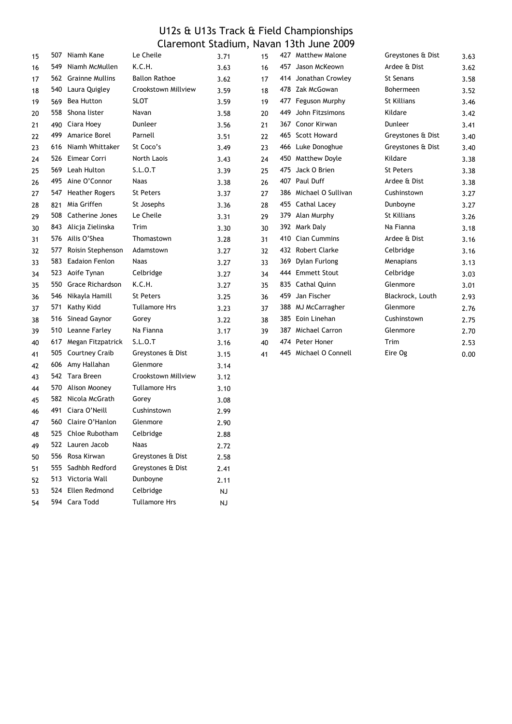|    |     |                        |                      | .                      |    |     |                        |                    |      |
|----|-----|------------------------|----------------------|------------------------|----|-----|------------------------|--------------------|------|
| 15 | 507 | Niamh Kane             | Le Cheile            | 3.71                   | 15 |     | 427 Matthew Malone     | Greystones & Dist  | 3.63 |
| 16 | 549 | Niamh McMullen         | K.C.H.               | 3.63                   | 16 | 457 | Jason McKeown          | Ardee & Dist       | 3.62 |
| 17 | 562 | <b>Grainne Mullins</b> | <b>Ballon Rathoe</b> | 3.62                   | 17 |     | 414 Jonathan Crowley   | St Senans          | 3.58 |
| 18 | 540 | Laura Quigley          | Crookstown Millview  | 3.59                   | 18 | 478 | Zak McGowan            | Bohermeen          | 3.52 |
| 19 | 569 | Bea Hutton             | <b>SLOT</b>          | 3.59                   | 19 |     | 477 Feguson Murphy     | <b>St Killians</b> | 3.46 |
| 20 | 558 | Shona lister           | Navan                | 3.58                   | 20 | 449 | John Fitzsimons        | Kildare            | 3.42 |
| 21 | 490 | Ciara Hoey             | Dunleer              | 3.56                   | 21 |     | 367 Conor Kirwan       | Dunleer            | 3.41 |
| 22 | 499 | Amarice Borel          | Parnell              | 3.51                   | 22 |     | 465 Scott Howard       | Greystones & Dist  | 3.40 |
| 23 |     | 616 Niamh Whittaker    | St Coco's            | 3.49                   | 23 |     | 466 Luke Donoghue      | Greystones & Dist  | 3.40 |
| 24 |     | 526 Eimear Corri       | North Laois          | 3.43                   | 24 |     | 450 Matthew Doyle      | Kildare            | 3.38 |
| 25 | 569 | Leah Hulton            | S.L.O.T              | 3.39                   | 25 | 475 | Jack O Brien           | St Peters          | 3.38 |
| 26 |     | 495 Aine O'Connor      | Naas                 | 3.38                   | 26 |     | 407 Paul Duff          | Ardee & Dist       | 3.38 |
| 27 |     | 547 Heather Rogers     | <b>St Peters</b>     | 3.37                   | 27 |     | 386 Michael O Sullivan | Cushinstown        | 3.27 |
| 28 | 821 | Mia Griffen            | St Josephs           | 3.36                   | 28 |     | 455 Cathal Lacey       | Dunboyne           | 3.27 |
| 29 | 508 | <b>Catherine Jones</b> | Le Cheile            | 3.31                   | 29 | 379 | Alan Murphy            | <b>St Killians</b> | 3.26 |
| 30 |     | 843 Alicja Zielinska   | Trim                 | 3.30                   | 30 |     | 392 Mark Daly          | Na Fianna          | 3.18 |
| 31 |     | 576 Ailis O'Shea       | Thomastown           | 3.28                   | 31 |     | 410 Cian Cummins       | Ardee & Dist       | 3.16 |
| 32 | 577 | Roisin Stephenson      | Adamstown            | 3.27                   | 32 |     | 432 Robert Clarke      | Celbridge          | 3.16 |
| 33 | 583 | <b>Eadaion Fenlon</b>  | Naas                 | 3.27                   | 33 | 369 | Dylan Furlong          | Menapians          | 3.13 |
| 34 |     | 523 Aoife Tynan        | Celbridge            | 3.27                   | 34 |     | 444 Emmett Stout       | Celbridge          | 3.03 |
| 35 | 550 | Grace Richardson       | K.C.H.               | 3.27                   | 35 | 835 | Cathal Quinn           | Glenmore           | 3.01 |
| 36 | 546 | Nikayla Hamill         | <b>St Peters</b>     | 3.25                   | 36 | 459 | Jan Fischer            | Blackrock, Louth   | 2.93 |
| 37 | 571 | Kathy Kidd             | <b>Tullamore Hrs</b> | 3.23                   | 37 |     | 388 MJ McCarragher     | Glenmore           | 2.76 |
| 38 | 516 | Sinead Gaynor          | Gorey                | 3.22                   | 38 |     | 385 Eoin Linehan       | Cushinstown        | 2.75 |
| 39 |     | 510 Leanne Farley      | Na Fianna            | 3.17                   | 39 |     | 387 Michael Carron     | Glenmore           | 2.70 |
| 40 |     | 617 Megan Fitzpatrick  | S.L.O.T              | 3.16                   | 40 |     | 474 Peter Honer        | Trim               | 2.53 |
| 41 | 505 | <b>Courtney Craib</b>  | Greystones & Dist    | 3.15                   | 41 |     | 445 Michael O Connell  | Eire Og            | 0.00 |
| 42 |     | 606 Amy Hallahan       | Glenmore             | 3.14                   |    |     |                        |                    |      |
| 43 |     | 542 Tara Breen         | Crookstown Millview  | 3.12                   |    |     |                        |                    |      |
| 44 |     | 570 Alison Mooney      | <b>Tullamore Hrs</b> | 3.10                   |    |     |                        |                    |      |
| 45 | 582 | Nicola McGrath         | Gorey                | 3.08                   |    |     |                        |                    |      |
| 46 | 491 | Ciara O'Neill          | Cushinstown          | 2.99                   |    |     |                        |                    |      |
| 47 |     | 560 Claire O'Hanlon    | Glenmore             | 2.90                   |    |     |                        |                    |      |
| 48 |     | 525 Chloe Rubotham     | Celbridge            | 2.88                   |    |     |                        |                    |      |
| 49 |     | 522 Lauren Jacob       | Naas                 | 2.72                   |    |     |                        |                    |      |
| 50 | 556 | Rosa Kirwan            | Greystones & Dist    | 2.58                   |    |     |                        |                    |      |
| 51 | 555 | Sadhbh Redford         | Greystones & Dist    | 2.41                   |    |     |                        |                    |      |
| 52 |     | 513 Victoria Wall      | Dunboyne             | 2.11                   |    |     |                        |                    |      |
| 53 |     | 524 Ellen Redmond      | Celbridge            | <b>NJ</b>              |    |     |                        |                    |      |
| 54 |     | 594 Cara Todd          | <b>Tullamore Hrs</b> | $\mathsf{N}\mathsf{J}$ |    |     |                        |                    |      |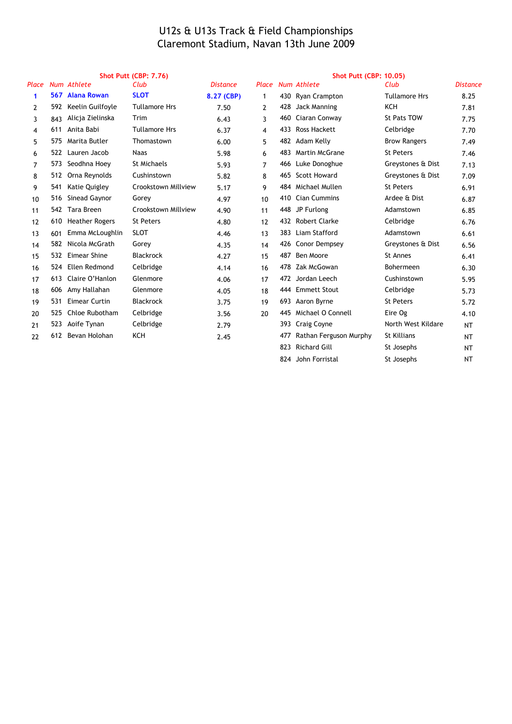|                |     |                       | <b>Shot Putt (CBP: 7.76)</b> |                 |                |     | <b>Shot Putt (CBP: 10.05)</b> |                      |                 |
|----------------|-----|-----------------------|------------------------------|-----------------|----------------|-----|-------------------------------|----------------------|-----------------|
| Place          |     | Num Athlete           | Club                         | <b>Distance</b> | Place          |     | <b>Num Athlete</b>            | Club                 | <b>Distance</b> |
| 1              |     | 567 Alana Rowan       | <b>SLOT</b>                  | 8.27 (CBP)      | 1              | 430 | <b>Ryan Crampton</b>          | <b>Tullamore Hrs</b> | 8.25            |
| 2              | 592 | Keelin Guilfoyle      | <b>Tullamore Hrs</b>         | 7.50            | 2              | 428 | Jack Manning                  | ксн                  | 7.81            |
| 3              | 843 | Alicja Zielinska      | Trim                         | 6.43            | 3              | 460 | Ciaran Conway                 | St Pats TOW          | 7.75            |
| 4              | 611 | Anita Babi            | <b>Tullamore Hrs</b>         | 6.37            | 4              | 433 | <b>Ross Hackett</b>           | Celbridge            | 7.70            |
| 5              | 575 | Marita Butler         | Thomastown                   | 6.00            | 5              | 482 | Adam Kelly                    | <b>Brow Rangers</b>  | 7.49            |
| 6              | 522 | Lauren Jacob          | <b>Naas</b>                  | 5.98            | 6              | 483 | <b>Martin McGrane</b>         | <b>St Peters</b>     | 7.46            |
| $\overline{7}$ | 573 | Seodhna Hoey          | <b>St Michaels</b>           | 5.93            | $\overline{7}$ | 466 | Luke Donoghue                 | Greystones & Dist    | 7.13            |
| 8              | 512 | Orna Reynolds         | Cushinstown                  | 5.82            | 8              | 465 | <b>Scott Howard</b>           | Greystones & Dist    | 7.09            |
| 9              | 541 | Katie Quigley         | Crookstown Millview          | 5.17            | 9              | 484 | Michael Mullen                | <b>St Peters</b>     | 6.91            |
| 10             | 516 | Sinead Gaynor         | Gorey                        | 4.97            | 10             | 410 | <b>Cian Cummins</b>           | Ardee & Dist         | 6.87            |
| 11             | 542 | Tara Breen            | Crookstown Millview          | 4.90            | 11             | 448 | JP Furlong                    | Adamstown            | 6.85            |
| 12             | 610 | <b>Heather Rogers</b> | <b>St Peters</b>             | 4.80            | 12             | 432 | <b>Robert Clarke</b>          | Celbridge            | 6.76            |
| 13             | 601 | Emma McLoughlin       | <b>SLOT</b>                  | 4.46            | 13             | 383 | Liam Stafford                 | Adamstown            | 6.61            |
| 14             | 582 | Nicola McGrath        | Gorey                        | 4.35            | 14             | 426 | Conor Dempsey                 | Greystones & Dist    | 6.56            |
| 15             | 532 | Eimear Shine          | <b>Blackrock</b>             | 4.27            | 15             | 487 | Ben Moore                     | <b>St Annes</b>      | 6.41            |
| 16             | 524 | Ellen Redmond         | Celbridge                    | 4.14            | 16             | 478 | Zak McGowan                   | <b>Bohermeen</b>     | 6.30            |
| 17             | 613 | Claire O'Hanlon       | Glenmore                     | 4.06            | 17             | 472 | Jordan Leech                  | Cushinstown          | 5.95            |
| 18             | 606 | Amy Hallahan          | Glenmore                     | 4.05            | 18             | 444 | <b>Emmett Stout</b>           | Celbridge            | 5.73            |
| 19             | 531 | Eimear Curtin         | <b>Blackrock</b>             | 3.75            | 19             | 693 | Aaron Byrne                   | <b>St Peters</b>     | 5.72            |
| 20             | 525 | Chloe Rubotham        | Celbridge                    | 3.56            | 20             | 445 | Michael O Connell             | Eire Og              | 4.10            |
| 21             | 523 | Aoife Tynan           | Celbridge                    | 2.79            |                | 393 | <b>Craig Coyne</b>            | North West Kildare   | <b>NT</b>       |
| 22             | 612 | Bevan Holohan         | <b>KCH</b>                   | 2.45            |                | 477 | Rathan Ferguson Murphy        | <b>St Killians</b>   | <b>NT</b>       |
|                |     |                       |                              |                 |                | 823 | <b>Richard Gill</b>           | St Josephs           | NT              |
|                |     |                       |                              |                 |                |     |                               |                      |                 |

824 NT John Forristal St Josephs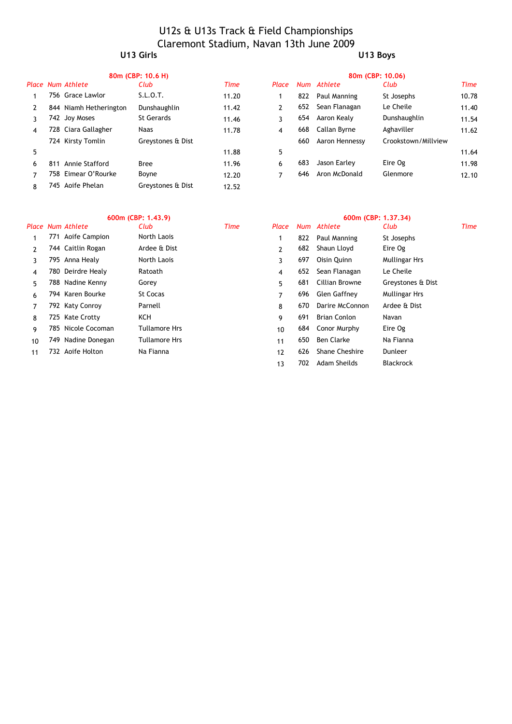#### U12s & U13s Track & Field Championships Claremont Stadium, Navan 13th June 2009 **U13 Girls U13 Boys**

|   |     |                        | 80m (CBP: 10.6 H) |       | 80m (CBP: 10.06) |     |                |                     |       |  |
|---|-----|------------------------|-------------------|-------|------------------|-----|----------------|---------------------|-------|--|
|   |     | Place Num Athlete      | Club              | Time  | Place            |     | Num Athlete    | Club                | Time  |  |
|   |     | 756 Grace Lawlor       | S.L.O.T.          | 11.20 |                  | 822 | Paul Manning   | St Josephs          | 10.78 |  |
|   |     | 844 Niamh Hetherington | Dunshaughlin      | 11.42 | $\mathcal{P}$    | 652 | Sean Flanagan  | Le Cheile           | 11.40 |  |
|   |     | 742 Joy Moses          | St Gerards        | 11.46 | 3.               | 654 | Aaron Kealy    | Dunshaughlin        | 11.54 |  |
| 4 |     | 728 Ciara Gallagher    | <b>Naas</b>       | 11.78 | 4                | 668 | Callan Byrne   | Aghaviller          | 11.62 |  |
|   |     | 724 Kirsty Tomlin      | Greystones & Dist |       |                  | 660 | Aaron Hennessy | Crookstown/Millview |       |  |
| 5 |     |                        |                   | 11.88 | 5                |     |                |                     | 11.64 |  |
| 6 | 811 | Annie Stafford         | <b>Bree</b>       | 11.96 | 6                | 683 | Jason Earley   | Eire Og             | 11.98 |  |
|   |     | 758 Eimear O'Rourke    | Boyne             | 12.20 |                  | 646 | Aron McDonald  | Glenmore            | 12.10 |  |
| 8 |     | 745 Aoife Phelan       | Greystones & Dist | 12.52 |                  |     |                |                     |       |  |

| 2: 10.6 H         |       |               |     |                | 80m (CBP: 10.06)    |       |
|-------------------|-------|---------------|-----|----------------|---------------------|-------|
| Club              | Time  | Place         |     | Num Athlete    | Club                | Time  |
| S.L.O.T.          | 11.20 |               | 822 | Paul Manning   | St Josephs          | 10.78 |
| Dunshaughlin      | 11.42 | $\mathcal{P}$ | 652 | Sean Flanagan  | Le Cheile           | 11.40 |
| St Gerards        | 11.46 | ٦             | 654 | Aaron Kealy    | Dunshaughlin        | 11.54 |
| <b>Naas</b>       | 11.78 | 4             | 668 | Callan Byrne   | Aghaviller          | 11.62 |
| Greystones & Dist |       |               | 660 | Aaron Hennessy | Crookstown/Millview |       |
|                   | 11.88 | 5             |     |                |                     | 11.64 |
| <b>Bree</b>       | 11.96 | 6             | 683 | Jason Earley   | Eire Og             | 11.98 |
| Boyne             | 12.20 | 7             | 646 | Aron McDonald  | Glenmore            | 12.10 |
|                   |       |               |     |                |                     |       |

|    |                    | 600m (CBP: 1.43.9) |      | 600m (CBP: 1.37.34) |     |                     |                      |      |  |
|----|--------------------|--------------------|------|---------------------|-----|---------------------|----------------------|------|--|
|    | Place Num Athlete  | Club               | Time | Place               |     | Num Athlete         | Club                 | Time |  |
|    | 771 Aoife Campion  | North Laois        |      | 1                   | 822 | Paul Manning        | St Josephs           |      |  |
|    | 744 Caitlin Rogan  | Ardee & Dist       |      | $\mathbf{2}$        | 682 | Shaun Lloyd         | Eire Og              |      |  |
| 3  | 795 Anna Healy     | North Laois        |      | 3                   | 697 | Oisin Quinn         | <b>Mullingar Hrs</b> |      |  |
| 4  | 780 Deirdre Healy  | Ratoath            |      | 4                   | 652 | Sean Flanagan       | Le Cheile            |      |  |
| 5. | 788 Nadine Kenny   | Gorey              |      | 5.                  | 681 | Cillian Browne      | Greystones & Dist    |      |  |
| 6  | 794 Karen Bourke   | <b>St Cocas</b>    |      | 7                   | 696 | Glen Gaffney        | <b>Mullingar Hrs</b> |      |  |
|    | 792 Katy Conroy    | Parnell            |      | 8                   | 670 | Darire McConnon     | Ardee & Dist         |      |  |
| 8  | 725 Kate Crotty    | KCH                |      | 9                   | 691 | <b>Brian Conlon</b> | Navan                |      |  |
| 9  | 785 Nicole Cocoman | Tullamore Hrs      |      | 10                  |     | 684 Conor Murphy    | Eire Og              |      |  |
| 10 | 749 Nadine Donegan | Tullamore Hrs      |      | 11                  | 650 | Ben Clarke          | Na Fianna            |      |  |
| 11 | 732 Aoife Holton   | Na Fianna          |      | 12                  | 626 | Shane Cheshire      | Dunleer              |      |  |
|    |                    |                    |      | 13                  | 702 | Adam Sheilds        | <b>Blackrock</b>     |      |  |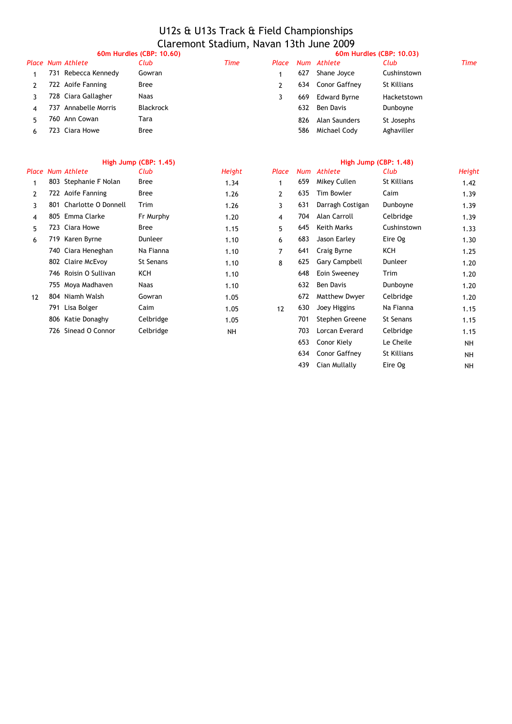| 60m Hurdles (CBP: 10.60) |     |                     |                  |      | 60m Hurdles (CBP: 10.03) |     |                     |             |      |  |
|--------------------------|-----|---------------------|------------------|------|--------------------------|-----|---------------------|-------------|------|--|
|                          |     | Place Num Athlete   | Club             | Time | Place                    |     | Num Athlete         | Club        | Time |  |
|                          | 731 | Rebecca Kennedy     | Gowran           |      |                          | 627 | Shane Joyce         | Cushinstown |      |  |
|                          |     | 722 Aoife Fanning   | <b>Bree</b>      |      |                          | 634 | Conor Gaffney       | St Killians |      |  |
|                          |     | 728 Ciara Gallagher | <b>Naas</b>      |      |                          | 669 | <b>Edward Byrne</b> | Hacketstown |      |  |
| 4                        |     | Annabelle Morris    | <b>Blackrock</b> |      |                          | 632 | Ben Davis           | Dunboyne    |      |  |
|                          |     | 760 Ann Cowan       | Tara             |      |                          | 826 | Alan Saunders       | St Josephs  |      |  |
|                          |     | 723 Ciara Howe      | Bree             |      |                          | 586 | Michael Cody        | Aghaviller  |      |  |

#### **High Jump (CBP: 1.45) High Jump (CBP: 1.48)**

| Place         |     | Num Athlete             | Club        | Height    | Place | Num | Athlete              | Club        | Heigh |
|---------------|-----|-------------------------|-------------|-----------|-------|-----|----------------------|-------------|-------|
|               |     | 803 Stephanie F Nolan   | <b>Bree</b> | 1.34      |       | 659 | Mikey Cullen         | St Killians | 1.42  |
| $\mathcal{P}$ |     | 722 Aoife Fanning       | Bree        | 1.26      | 2     | 635 | <b>Tim Bowler</b>    | Caim        | 1.39  |
| 3             |     | 801 Charlotte O Donnell | Trim        | 1.26      | 3     | 631 | Darragh Costigan     | Dunboyne    | 1.39  |
| 4             |     | 805 Emma Clarke         | Fr Murphy   | 1.20      | 4     | 704 | Alan Carroll         | Celbridge   | 1.39  |
| 5.            |     | 723 Ciara Howe          | <b>Bree</b> | 1.15      | 5     | 645 | Keith Marks          | Cushinstown | 1.33  |
| 6             |     | 719 Karen Byrne         | Dunleer     | 1.10      | 6     | 683 | Jason Earley         | Eire Og     | 1.30  |
|               |     | 740 Ciara Heneghan      | Na Fianna   | 1.10      | 7     | 641 | Craig Byrne          | KCH         | 1.25  |
|               |     | 802 Claire McEvoy       | St Senans   | 1.10      | 8     | 625 | <b>Gary Campbell</b> | Dunleer     | 1.20  |
|               |     | 746 Roisin O Sullivan   | KCH         | 1.10      |       | 648 | Eoin Sweeney         | Trim        | 1.20  |
|               |     | 755 Moya Madhaven       | Naas        | 1.10      |       | 632 | Ben Davis            | Dunboyne    | 1.20  |
| 12            |     | 804 Niamh Walsh         | Gowran      | 1.05      |       | 672 | <b>Matthew Dwyer</b> | Celbridge   | 1.20  |
|               | 791 | Lisa Bolger             | Caim        | 1.05      | 12    | 630 | Joey Higgins         | Na Fianna   | 1.15  |
|               |     | 806 Katie Donaghy       | Celbridge   | 1.05      |       | 701 | Stephen Greene       | St Senans   | 1.15  |
|               |     | 726 Sinead O Connor     | Celbridge   | <b>NH</b> |       | 703 | Lorcan Everard       | Celbridge   | 1.15  |

|               | Place Num Athlete       | Club        | Height    | Place          | <b>Num</b> | Athlete              | Club        | Height |
|---------------|-------------------------|-------------|-----------|----------------|------------|----------------------|-------------|--------|
|               | 803 Stephanie F Nolan   | <b>Bree</b> | 1.34      | 1              | 659        | Mikey Cullen         | St Killians | 1.42   |
| $\mathcal{P}$ | 722 Aoife Fanning       | <b>Bree</b> | 1.26      | $\overline{2}$ | 635        | <b>Tim Bowler</b>    | Caim        | 1.39   |
| 3             | 801 Charlotte O Donnell | Trim        | 1.26      | 3              | 631        | Darragh Costigan     | Dunboyne    | 1.39   |
| 4             | 805 Emma Clarke         | Fr Murphy   | 1.20      | 4              | 704        | Alan Carroll         | Celbridge   | 1.39   |
| 5             | 723 Ciara Howe          | <b>Bree</b> | 1.15      | 5              | 645        | Keith Marks          | Cushinstown | 1.33   |
| 6             | 719 Karen Byrne         | Dunleer     | 1.10      | 6              | 683        | Jason Earley         | Eire Og     | 1.30   |
|               | 740 Ciara Heneghan      | Na Fianna   | 1.10      | $\overline{7}$ | 641        | Craig Byrne          | <b>KCH</b>  | 1.25   |
|               | 802 Claire McEvoy       | St Senans   | 1.10      | 8              | 625        | Gary Campbell        | Dunleer     | 1.20   |
|               | 746 Roisin O Sullivan   | KCH         | 1.10      |                | 648        | Eoin Sweeney         | Trim        | 1.20   |
|               | 755 Moya Madhaven       | Naas        | 1.10      |                | 632        | Ben Davis            | Dunboyne    | 1.20   |
| 12            | 804 Niamh Walsh         | Gowran      | 1.05      |                | 672        | <b>Matthew Dwyer</b> | Celbridge   | 1.20   |
|               | 791 Lisa Bolger         | Caim        | 1.05      | 12             | 630        | Joey Higgins         | Na Fianna   | 1.15   |
|               | 806 Katie Donaghy       | Celbridge   | 1.05      |                | 701        | Stephen Greene       | St Senans   | 1.15   |
|               | 726 Sinead O Connor     | Celbridge   | <b>NH</b> |                | 703        | Lorcan Everard       | Celbridge   | 1.15   |
|               |                         |             |           |                | 653        | Conor Kiely          | Le Cheile   | NH     |
|               |                         |             |           |                | 634        | Conor Gaffney        | St Killians | NH     |
|               |                         |             |           |                | 439        | Cian Mullally        | Eire Og     | NH     |
|               |                         |             |           |                |            |                      |             |        |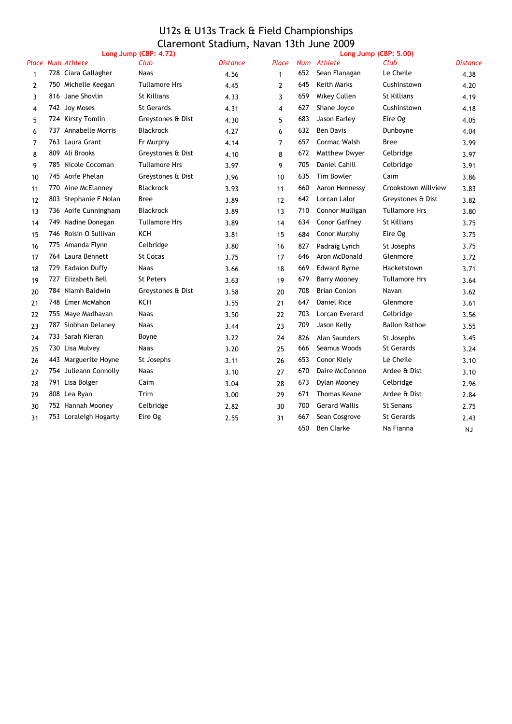|                |     |                       | Long Jump (CBP: 4.72) |                 |                |     |                      | Long Jump (CBP: 5.00) |                 |
|----------------|-----|-----------------------|-----------------------|-----------------|----------------|-----|----------------------|-----------------------|-----------------|
|                |     | Place Num Athlete     | Club                  | <b>Distance</b> | Place          |     | Num Athlete          | Club                  | <b>Distance</b> |
| $\mathbf{1}$   |     | 728 Ciara Gallagher   | <b>Naas</b>           | 4.56            | $\mathbf{1}$   | 652 | Sean Flanagan        | Le Cheile             | 4.38            |
| $\overline{2}$ |     | 750 Michelle Keegan   | <b>Tullamore Hrs</b>  | 4.45            | $\overline{2}$ | 645 | <b>Keith Marks</b>   | Cushinstown           | 4.20            |
| 3              |     | 816 Jane Shovlin      | <b>St Killians</b>    | 4.33            | 3              | 659 | Mikey Cullen         | <b>St Killians</b>    | 4.19            |
| 4              |     | 742 Joy Moses         | <b>St Gerards</b>     | 4.31            | 4              | 627 | Shane Joyce          | Cushinstown           | 4.18            |
| 5              |     | 724 Kirsty Tomlin     | Greystones & Dist     | 4.30            | 5              | 683 | Jason Earley         | Eire Og               | 4.05            |
| 6              |     | 737 Annabelle Morris  | <b>Blackrock</b>      | 4.27            | 6              | 632 | <b>Ben Davis</b>     | Dunboyne              | 4.04            |
| $\overline{7}$ |     | 763 Laura Grant       | Fr Murphy             | 4.14            | $\overline{7}$ | 657 | Cormac Walsh         | Bree                  | 3.99            |
| 8              |     | 809 Ali Brooks        | Greystones & Dist     | 4.10            | 8              | 672 | <b>Matthew Dwyer</b> | Celbridge             | 3.97            |
| 9              |     | 785 Nicole Cocoman    | <b>Tullamore Hrs</b>  | 3.97            | 9              | 705 | Daniel Cahill        | Celbridge             | 3.91            |
| 10             |     | 745 Aoife Phelan      | Greystones & Dist     | 3.96            | 10             | 635 | <b>Tim Bowler</b>    | Caim                  | 3.86            |
| 11             |     | 770 Aine McElanney    | <b>Blackrock</b>      | 3.93            | 11             | 660 | Aaron Hennessy       | Crookstown Millview   | 3.83            |
| 12             | 803 | Stephanie F Nolan     | <b>Bree</b>           | 3.89            | 12             | 642 | Lorcan Lalor         | Greystones & Dist     | 3.82            |
| 13             |     | 736 Aoife Cunningham  | <b>Blackrock</b>      | 3.89            | 13             | 710 | Connor Mulligan      | <b>Tullamore Hrs</b>  | 3.80            |
| 14             | 749 | Nadine Donegan        | <b>Tullamore Hrs</b>  | 3.89            | 14             | 634 | Conor Gaffney        | <b>St Killians</b>    | 3.75            |
| 15             |     | 746 Roisin O Sullivan | ксн                   | 3.81            | 15             | 684 | Conor Murphy         | Eire Og               | 3.75            |
| 16             |     | 775 Amanda Flynn      | Celbridge             | 3.80            | 16             | 827 | Padraig Lynch        | St Josephs            | 3.75            |
| 17             |     | 764 Laura Bennett     | <b>St Cocas</b>       | 3.75            | 17             | 646 | Aron McDonald        | Glenmore              | 3.72            |
| 18             |     | 729 Eadaion Duffy     | <b>Naas</b>           | 3.66            | 18             | 669 | <b>Edward Byrne</b>  | Hacketstown           | 3.71            |
| 19             |     | 727 Elizabeth Bell    | <b>St Peters</b>      | 3.63            | 19             | 679 | <b>Barry Mooney</b>  | <b>Tullamore Hrs</b>  | 3.64            |
| 20             |     | 784 Niamh Baldwin     | Greystones & Dist     | 3.58            | 20             | 708 | <b>Brian Conlon</b>  | Navan                 | 3.62            |
| 21             |     | 748 Emer McMahon      | KCH                   | 3.55            | 21             | 647 | <b>Daniel Rice</b>   | Glenmore              | 3.61            |
| 22             |     | 755 Maye Madhavan     | Naas                  | 3.50            | 22             | 703 | Lorcan Everard       | Celbridge             | 3.56            |
| 23             |     | 787 Siobhan Delaney   | Naas                  | 3.44            | 23             | 709 | Jason Kelly          | <b>Ballon Rathoe</b>  | 3.55            |
| 24             |     | 733 Sarah Kieran      | Boyne                 | 3.22            | 24             | 826 | Alan Saunders        | St Josephs            | 3.45            |
| 25             |     | 730 Lisa Mulvey       | Naas                  | 3.20            | 25             | 666 | Seamus Woods         | St Gerards            | 3.24            |
| 26             |     | 443 Marguerite Hoyne  | St Josephs            | 3.11            | 26             | 653 | Conor Kiely          | Le Cheile             | 3.10            |
| 27             |     | 754 Julieann Connolly | <b>Naas</b>           | 3.10            | 27             | 670 | Daire McConnon       | Ardee & Dist          | 3.10            |
| 28             |     | 791 Lisa Bolger       | Caim                  | 3.04            | 28             | 673 | Dylan Mooney         | Celbridge             | 2.96            |
| 29             |     | 808 Lea Ryan          | Trim                  | 3.00            | 29             | 671 | <b>Thomas Keane</b>  | Ardee & Dist          | 2.84            |
| 30             |     | 752 Hannah Mooney     | Celbridge             | 2.82            | 30             | 700 | <b>Gerard Wallis</b> | <b>St Senans</b>      | 2.75            |
| 31             |     | 753 Loraleigh Hogarty | Eire Og               | 2.55            | 31             | 667 | Sean Cosgrove        | <b>St Gerards</b>     | 2.43            |
|                |     |                       |                       |                 |                | 650 | <b>Ben Clarke</b>    | Na Fianna             | <b>NJ</b>       |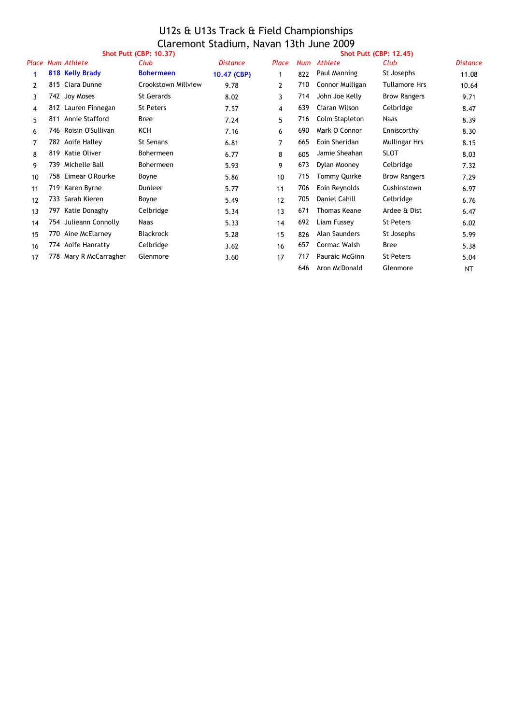| <b>Shot Putt (CBP: 10.37)</b> |     |                          |                     |                 |              | <b>Shot Putt (CBP: 12.45)</b> |                 |                      |                 |  |  |  |
|-------------------------------|-----|--------------------------|---------------------|-----------------|--------------|-------------------------------|-----------------|----------------------|-----------------|--|--|--|
|                               |     | <b>Place Num Athlete</b> | Club                | <b>Distance</b> | Place        | Num                           | Athlete         | Club                 | <b>Distance</b> |  |  |  |
|                               |     | 818 Kelly Brady          | <b>Bohermeen</b>    | 10.47 (CBP)     | 1            | 822                           | Paul Manning    | St Josephs           | 11.08           |  |  |  |
| $\mathcal{P}$                 |     | 815 Ciara Dunne          | Crookstown Millview | 9.78            | $\mathbf{2}$ | 710                           | Connor Mulligan | <b>Tullamore Hrs</b> | 10.64           |  |  |  |
| 3                             |     | 742 Joy Moses            | <b>St Gerards</b>   | 8.02            | 3            | 714                           | John Joe Kelly  | <b>Brow Rangers</b>  | 9.71            |  |  |  |
| 4                             |     | 812 Lauren Finnegan      | St Peters           | 7.57            | 4            | 639                           | Ciaran Wilson   | Celbridge            | 8.47            |  |  |  |
| 5                             |     | 811 Annie Stafford       | <b>Bree</b>         | 7.24            | 5            | 716                           | Colm Stapleton  | Naas                 | 8.39            |  |  |  |
| 6                             |     | 746 Roisin O'Sullivan    | KCH                 | 7.16            | 6            | 690                           | Mark O Connor   | Enniscorthy          | 8.30            |  |  |  |
| 7                             |     | 782 Aoife Halley         | St Senans           | 6.81            | 7            | 665                           | Eoin Sheridan   | Mullingar Hrs        | 8.15            |  |  |  |
| 8                             |     | 819 Katie Oliver         | <b>Bohermeen</b>    | 6.77            | 8            | 605                           | Jamie Sheahan   | SLOT                 | 8.03            |  |  |  |
| 9                             |     | 739 Michelle Ball        | <b>Bohermeen</b>    | 5.93            | 9            | 673                           | Dylan Mooney    | Celbridge            | 7.32            |  |  |  |
| 10                            |     | 758 Eimear O'Rourke      | Boyne               | 5.86            | 10           | 715                           | Tommy Quirke    | <b>Brow Rangers</b>  | 7.29            |  |  |  |
| 11                            |     | 719 Karen Byrne          | Dunleer             | 5.77            | 11           | 706                           | Eoin Reynolds   | Cushinstown          | 6.97            |  |  |  |
| 12                            | 733 | Sarah Kieren             | Boyne               | 5.49            | 12           | 705                           | Daniel Cahill   | Celbridge            | 6.76            |  |  |  |
| 13                            |     | 797 Katie Donaghy        | Celbridge           | 5.34            | 13           | 671                           | Thomas Keane    | Ardee & Dist         | 6.47            |  |  |  |
| 14                            |     | 754 Julieann Connolly    | Naas                | 5.33            | 14           | 692                           | Liam Fussey     | St Peters            | 6.02            |  |  |  |
| 15                            |     | 770 Aine McElarney       | <b>Blackrock</b>    | 5.28            | 15           | 826                           | Alan Saunders   | St Josephs           | 5.99            |  |  |  |
| 16                            |     | 774 Aoife Hanratty       | Celbridge           | 3.62            | 16           | 657                           | Cormac Walsh    | <b>Bree</b>          | 5.38            |  |  |  |
| 17                            |     | 778 Mary R McCarragher   | Glenmore            | 3.60            | 17           | 717                           | Pauraic McGinn  | St Peters            | 5.04            |  |  |  |
|                               |     |                          |                     |                 |              | 646                           | Aron McDonald   | Glenmore             | <b>NT</b>       |  |  |  |